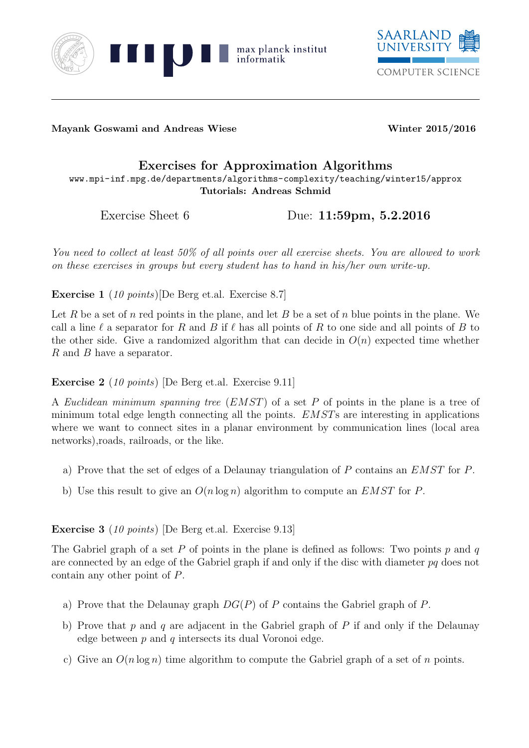



Mayank Goswami and Andreas Wiese Winter 2015/2016

## Exercises for Approximation Algorithms

www.mpi-inf.mpg.de/departments/algorithms-complexity/teaching/winter15/approx Tutorials: Andreas Schmid

Exercise Sheet 6 Due: 11:59pm, 5.2.2016

You need to collect at least 50% of all points over all exercise sheets. You are allowed to work on these exercises in groups but every student has to hand in his/her own write-up.

Exercise 1 (10 points)[De Berg et.al. Exercise 8.7]

Let R be a set of n red points in the plane, and let B be a set of n blue points in the plane. We call a line  $\ell$  a separator for R and B if  $\ell$  has all points of R to one side and all points of B to the other side. Give a randomized algorithm that can decide in  $O(n)$  expected time whether R and B have a separator.

Exercise 2 (10 points) [De Berg et.al. Exercise 9.11]

A Euclidean minimum spanning tree (EMST) of a set P of points in the plane is a tree of minimum total edge length connecting all the points. EMSTs are interesting in applications where we want to connect sites in a planar environment by communication lines (local area networks),roads, railroads, or the like.

- a) Prove that the set of edges of a Delaunay triangulation of P contains an EMST for P.
- b) Use this result to give an  $O(n \log n)$  algorithm to compute an *EMST* for P.

## Exercise 3 (10 points) [De Berg et.al. Exercise 9.13]

The Gabriel graph of a set P of points in the plane is defined as follows: Two points p and q are connected by an edge of the Gabriel graph if and only if the disc with diameter pq does not contain any other point of P.

- a) Prove that the Delaunay graph  $DG(P)$  of P contains the Gabriel graph of P.
- b) Prove that  $p$  and  $q$  are adjacent in the Gabriel graph of  $P$  if and only if the Delaunay edge between  $p$  and  $q$  intersects its dual Voronoi edge.
- c) Give an  $O(n \log n)$  time algorithm to compute the Gabriel graph of a set of n points.